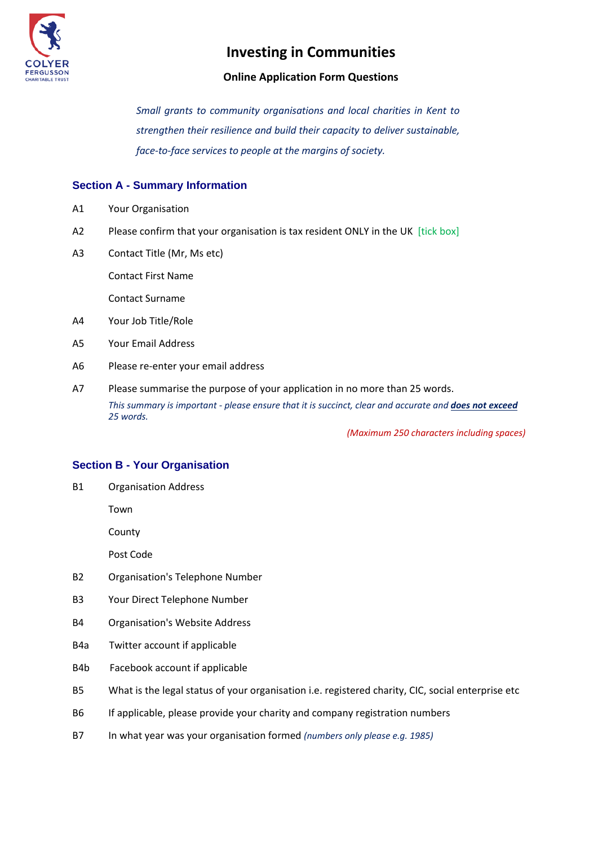

### **Online Application Form Questions**

*Small grants to community organisations and local charities in Kent to strengthen their resilience and build their capacity to deliver sustainable, face-to-face services to people at the margins of society.*

### **Section A - Summary Information**

- A1 Your Organisation
- A2 Please confirm that your organisation is tax resident ONLY in the UK [tick box]
- A3 Contact Title (Mr, Ms etc)

Contact First Name

Contact Surname

- A4 Your Job Title/Role
- A5 Your Email Address
- A6 Please re-enter your email address
- A7 Please summarise the purpose of your application in no more than 25 words. *This summary is important - please ensure that it is succinct, clear and accurate and does not exceed 25 words.*

*(Maximum 250 characters including spaces)*

#### **Section B - Your Organisation**

B1 Organisation Address

Town

County

Post Code

- B2 Organisation's Telephone Number
- B3 Your Direct Telephone Number
- B4 Organisation's Website Address
- B4a Twitter account if applicable
- B4b Facebook account if applicable
- B5 What is the legal status of your organisation i.e. registered charity, CIC, social enterprise etc
- B6 If applicable, please provide your charity and company registration numbers
- B7 In what year was your organisation formed *(numbers only please e.g. 1985)*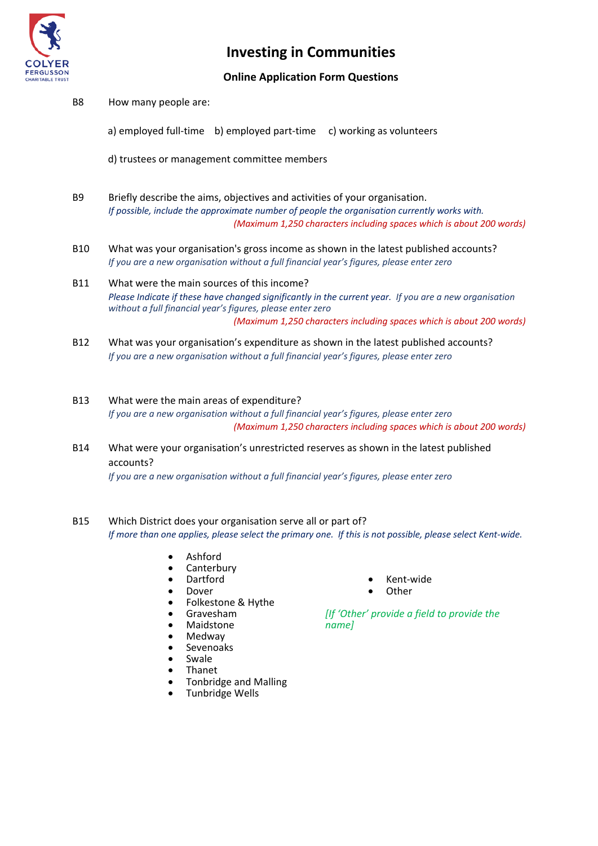

### **Online Application Form Questions**

B8 How many people are:

a) employed full-time b) employed part-time c) working as volunteers

d) trustees or management committee members

- B9 Briefly describe the aims, objectives and activities of your organisation. *If possible, include the approximate number of people the organisation currently works with. (Maximum 1,250 characters including spaces which is about 200 words)*
- B10 What was your organisation's gross income as shown in the latest published accounts? *If you are a new organisation without a full financial year's figures, please enter zero*
- B11 What were the main sources of this income? *Please Indicate if these have changed significantly in the current year. If you are a new organisation without a full financial year's figures, please enter zero (Maximum 1,250 characters including spaces which is about 200 words)*
- B12 What was your organisation's expenditure as shown in the latest published accounts? *If you are a new organisation without a full financial year's figures, please enter zero*
- B13 What were the main areas of expenditure? *If you are a new organisation without a full financial year's figures, please enter zero (Maximum 1,250 characters including spaces which is about 200 words)*
- B14 What were your organisation's unrestricted reserves as shown in the latest published accounts?

*If you are a new organisation without a full financial year's figures, please enter zero*

- B15 Which District does your organisation serve all or part of? *If more than one applies, please select the primary one. If this is not possible, please select Kent-wide.*
	- **Ashford**
	- Canterbury
	- Dartford
	- Dover
	- Folkestone & Hythe
	- Gravesham
	- Maidstone
	- Medway
	- Sevenoaks
	- **Swale**
	- Thanet
	- Tonbridge and Malling
	- Tunbridge Wells
- Kent-wide
- **Other**

*[If 'Other' provide a field to provide the name]*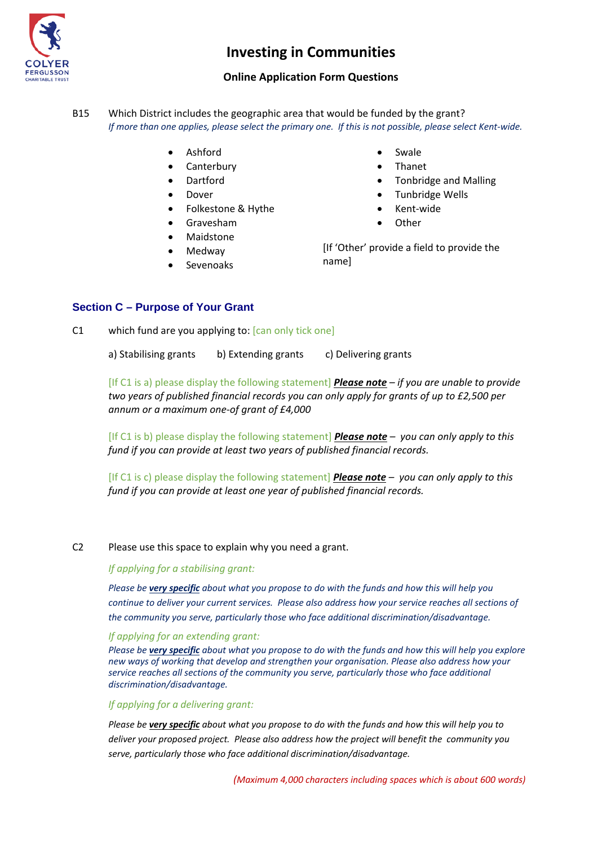

### **Online Application Form Questions**

B15 Which District includes the geographic area that would be funded by the grant? *If more than one applies, please select the primary one. If this is not possible, please select Kent-wide.*

- Ashford
- Canterbury
- Dartford
- Dover
- Folkestone & Hythe
- Gravesham
- **Maidstone**
- Medway
- **Sevenoaks**
- **Swale**
- Thanet
- Tonbridge and Malling
- Tunbridge Wells
- Kent-wide
- **Other**

[If 'Other' provide a field to provide the name]

#### **Section C – Purpose of Your Grant**

C1 which fund are you applying to: [can only tick one]

a) Stabilising grants b) Extending grants c) Delivering grants

[If C1 is a) please display the following statement] *Please note – if you are unable to provide two years of published financial records you can only apply for grants of up to £2,500 per annum or a maximum one-of grant of £4,000*

[If C1 is b) please display the following statement] *Please note – you can only apply to this fund if you can provide at least two years of published financial records.* 

[If C1 is c) please display the following statement] *Please note – you can only apply to this fund if you can provide at least one year of published financial records.* 

C2 Please use this space to explain why you need a grant.

*If applying for a stabilising grant:*

*Please be very specific about what you propose to do with the funds and how this will help you continue to deliver your current services. Please also address how your service reaches all sections of the community you serve, particularly those who face additional discrimination/disadvantage.*

#### *If applying for an extending grant:*

*Please be very specific about what you propose to do with the funds and how this will help you explore new ways of working that develop and strengthen your organisation. Please also address how your service reaches all sections of the community you serve, particularly those who face additional discrimination/disadvantage.*

#### *If applying for a delivering grant:*

*Please be very specific about what you propose to do with the funds and how this will help you to deliver your proposed project. Please also address how the project will benefit the community you serve, particularly those who face additional discrimination/disadvantage.*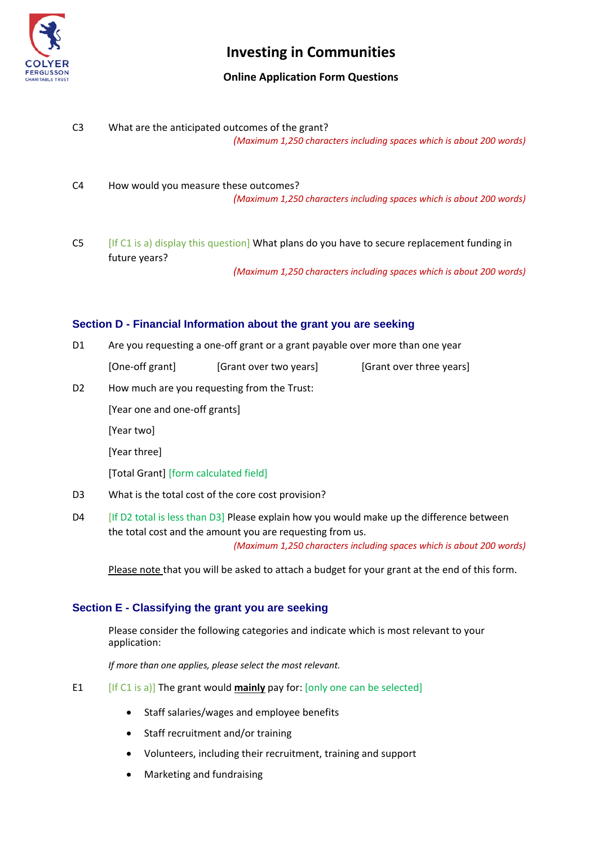

### **Online Application Form Questions**

- C3 What are the anticipated outcomes of the grant? *(Maximum 1,250 characters including spaces which is about 200 words)*
- C4 How would you measure these outcomes? *(Maximum 1,250 characters including spaces which is about 200 words)*
- C5 [If C1 is a) display this question] What plans do you have to secure replacement funding in future years?

*(Maximum 1,250 characters including spaces which is about 200 words)*

### **Section D - Financial Information about the grant you are seeking**

- D1 Are you requesting a one-off grant or a grant payable over more than one year
	- [One-off grant] [Grant over two years] [Grant over three years]
- D2 How much are you requesting from the Trust:

[Year one and one-off grants]

[Year two]

[Year three]

[Total Grant] [form calculated field]

- D3 What is the total cost of the core cost provision?
- D4 [If D2 total is less than D3] Please explain how you would make up the difference between the total cost and the amount you are requesting from us. *(Maximum 1,250 characters including spaces which is about 200 words)*

Please note that you will be asked to attach a budget for your grant at the end of this form.

#### **Section E - Classifying the grant you are seeking**

Please consider the following categories and indicate which is most relevant to your application:

*If more than one applies, please select the most relevant.*

- E1 [If C1 is a)] The grant would **mainly** pay for: [only one can be selected]
	- Staff salaries/wages and employee benefits
	- Staff recruitment and/or training
	- Volunteers, including their recruitment, training and support
	- Marketing and fundraising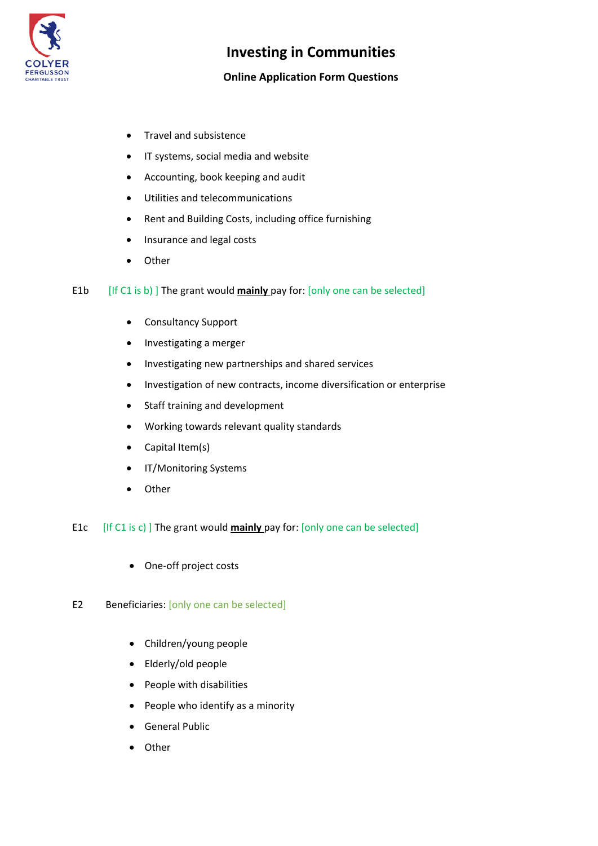

## **Online Application Form Questions**

- Travel and subsistence
- IT systems, social media and website
- Accounting, book keeping and audit
- Utilities and telecommunications
- Rent and Building Costs, including office furnishing
- Insurance and legal costs
- Other
- E1b [If C1 is b) ] The grant would **mainly** pay for: [only one can be selected]
	- Consultancy Support
	- Investigating a merger
	- Investigating new partnerships and shared services
	- Investigation of new contracts, income diversification or enterprise
	- Staff training and development
	- Working towards relevant quality standards
	- Capital Item(s)
	- IT/Monitoring Systems
	- Other
- E1c [If C1 is c) ] The grant would **mainly** pay for: [only one can be selected]
	- One-off project costs
- E2 Beneficiaries: [only one can be selected]
	- Children/young people
	- Elderly/old people
	- People with disabilities
	- People who identify as a minority
	- General Public
	- Other